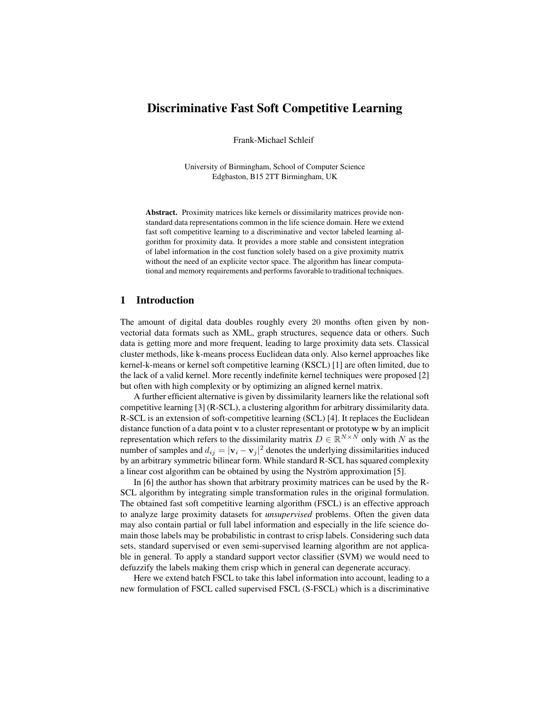# Discriminative Fast Soft Competitive Learning

Frank-Michael Schleif

University of Birmingham, School of Computer Science Edgbaston, B15 2TT Birmingham, UK

Abstract. Proximity matrices like kernels or dissimilarity matrices provide nonstandard data representations common in the life science domain. Here we extend fast soft competitive learning to a discriminative and vector labeled learning algorithm for proximity data. It provides a more stable and consistent integration of label information in the cost function solely based on a give proximity matrix without the need of an explicite vector space. The algorithm has linear computational and memory requirements and performs favorable to traditional techniques.

## 1 Introduction

The amount of digital data doubles roughly every 20 months often given by nonvectorial data formats such as XML, graph structures, sequence data or others. Such data is getting more and more frequent, leading to large proximity data sets. Classical cluster methods, like k-means process Euclidean data only. Also kernel approaches like kernel-k-means or kernel soft competitive learning (KSCL) [1] are often limited, due to the lack of a valid kernel. More recently indefinite kernel techniques were proposed [2] but often with high complexity or by optimizing an aligned kernel matrix.

A further efficient alternative is given by dissimilarity learners like the relational soft competitive learning [3] (R-SCL), a clustering algorithm for arbitrary dissimilarity data. R-SCL is an extension of soft-competitive learning (SCL) [4]. It replaces the Euclidean distance function of a data point v to a cluster representant or prototype w by an implicit representation which refers to the dissimilarity matrix  $D \in \mathbb{R}^{N \times N}$  only with N as the number of samples and  $d_{ij} = |\mathbf{v}_i - \mathbf{v}_j|^2$  denotes the underlying dissimilarities induced by an arbitrary symmetric bilinear form. While standard R-SCL has squared complexity a linear cost algorithm can be obtained by using the Nyström approximation [5].

In [6] the author has shown that arbitrary proximity matrices can be used by the R-SCL algorithm by integrating simple transformation rules in the original formulation. The obtained fast soft competitive learning algorithm (FSCL) is an effective approach to analyze large proximity datasets for *unsupervised* problems. Often the given data may also contain partial or full label information and especially in the life science domain those labels may be probabilistic in contrast to crisp labels. Considering such data sets, standard supervised or even semi-supervised learning algorithm are not applicable in general. To apply a standard support vector classifier (SVM) we would need to defuzzify the labels making them crisp which in general can degenerate accuracy.

Here we extend batch FSCL to take this label information into account, leading to a new formulation of FSCL called supervised FSCL (S-FSCL) which is a discriminative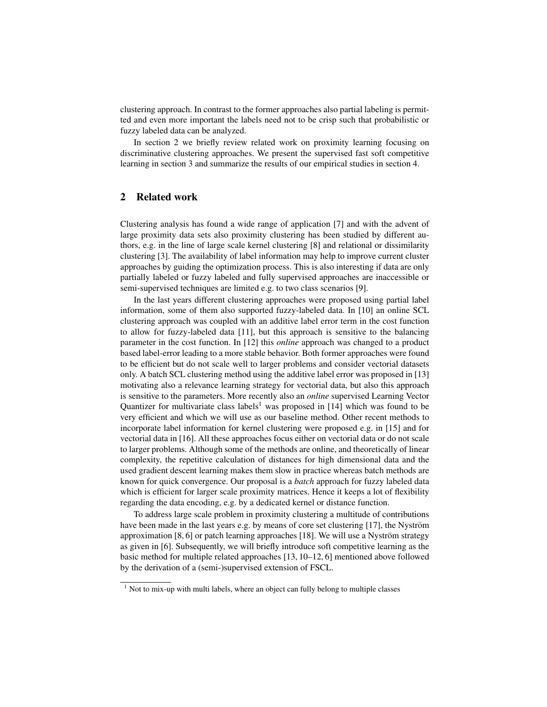clustering approach. In contrast to the former approaches also partial labeling is permitted and even more important the labels need not to be crisp such that probabilistic or fuzzy labeled data can be analyzed.

In section 2 we briefly review related work on proximity learning focusing on discriminative clustering approaches. We present the supervised fast soft competitive learning in section 3 and summarize the results of our empirical studies in section 4.

## 2 Related work

Clustering analysis has found a wide range of application [7] and with the advent of large proximity data sets also proximity clustering has been studied by different authors, e.g. in the line of large scale kernel clustering [8] and relational or dissimilarity clustering [3]. The availability of label information may help to improve current cluster approaches by guiding the optimization process. This is also interesting if data are only partially labeled or fuzzy labeled and fully supervised approaches are inaccessible or semi-supervised techniques are limited e.g. to two class scenarios [9].

In the last years different clustering approaches were proposed using partial label information, some of them also supported fuzzy-labeled data. In [10] an online SCL clustering approach was coupled with an additive label error term in the cost function to allow for fuzzy-labeled data [11], but this approach is sensitive to the balancing parameter in the cost function. In [12] this *online* approach was changed to a product based label-error leading to a more stable behavior. Both former approaches were found to be efficient but do not scale well to larger problems and consider vectorial datasets only. A batch SCL clustering method using the additive label error was proposed in [13] motivating also a relevance learning strategy for vectorial data, but also this approach is sensitive to the parameters. More recently also an *online* supervised Learning Vector Quantizer for multivariate class labels<sup>1</sup> was proposed in [14] which was found to be very efficient and which we will use as our baseline method. Other recent methods to incorporate label information for kernel clustering were proposed e.g. in [15] and for vectorial data in [16]. All these approaches focus either on vectorial data or do not scale to larger problems. Although some of the methods are online, and theoretically of linear complexity, the repetitive calculation of distances for high dimensional data and the used gradient descent learning makes them slow in practice whereas batch methods are known for quick convergence. Our proposal is a *batch* approach for fuzzy labeled data which is efficient for larger scale proximity matrices. Hence it keeps a lot of flexibility regarding the data encoding, e.g. by a dedicated kernel or distance function.

To address large scale problem in proximity clustering a multitude of contributions have been made in the last years e.g. by means of core set clustering [17], the Nyström approximation  $[8, 6]$  or patch learning approaches  $[18]$ . We will use a Nyström strategy as given in [6]. Subsequently, we will briefly introduce soft competitive learning as the basic method for multiple related approaches [13, 10–12, 6] mentioned above followed by the derivation of a (semi-)supervised extension of FSCL.

 $1$  Not to mix-up with multi labels, where an object can fully belong to multiple classes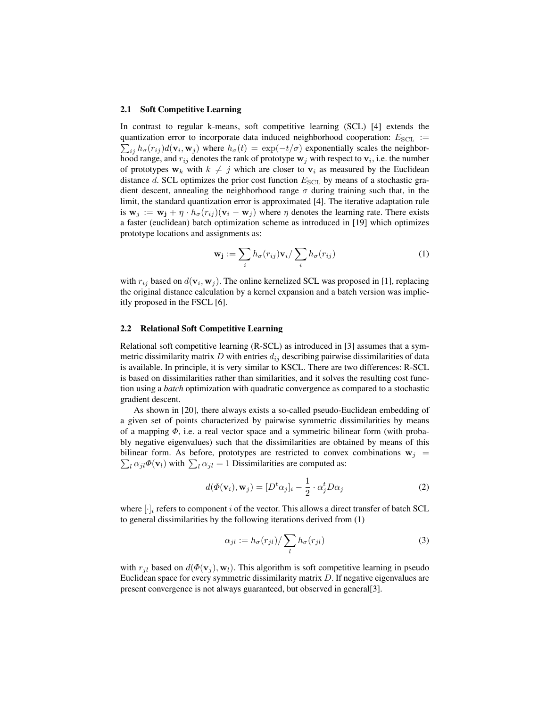#### 2.1 Soft Competitive Learning

In contrast to regular k-means, soft competitive learning (SCL) [4] extends the quantization error to incorporate data induced neighborhood cooperation:  $E_{\text{SCL}}$  :=  $\sum_{ij} h_{\sigma}(r_{ij}) d(\mathbf{v}_i, \mathbf{w}_j)$  where  $h_{\sigma}(t) = \exp(-t/\sigma)$  exponentially scales the neighborhood range, and  $r_{ij}$  denotes the rank of prototype  $w_j$  with respect to  $v_i$ , i.e. the number of prototypes  $w_k$  with  $k \neq j$  which are closer to  $v_i$  as measured by the Euclidean distance d. SCL optimizes the prior cost function  $E_{\text{SCL}}$  by means of a stochastic gradient descent, annealing the neighborhood range  $\sigma$  during training such that, in the limit, the standard quantization error is approximated [4]. The iterative adaptation rule is  $w_j := w_j + \eta \cdot h_{\sigma}(r_{ij}) (v_i - w_j)$  where  $\eta$  denotes the learning rate. There exists a faster (euclidean) batch optimization scheme as introduced in [19] which optimizes prototype locations and assignments as:

$$
\mathbf{w_j} := \sum_i h_{\sigma}(r_{ij}) \mathbf{v}_i / \sum_i h_{\sigma}(r_{ij})
$$
 (1)

with  $r_{ij}$  based on  $d(\mathbf{v}_i, \mathbf{w}_j)$ . The online kernelized SCL was proposed in [1], replacing the original distance calculation by a kernel expansion and a batch version was implicitly proposed in the FSCL [6].

#### 2.2 Relational Soft Competitive Learning

Relational soft competitive learning (R-SCL) as introduced in [3] assumes that a symmetric dissimilarity matrix D with entries  $d_{ij}$  describing pairwise dissimilarities of data is available. In principle, it is very similar to KSCL. There are two differences: R-SCL is based on dissimilarities rather than similarities, and it solves the resulting cost function using a *batch* optimization with quadratic convergence as compared to a stochastic gradient descent.

As shown in [20], there always exists a so-called pseudo-Euclidean embedding of a given set of points characterized by pairwise symmetric dissimilarities by means of a mapping  $\Phi$ , i.e. a real vector space and a symmetric bilinear form (with probably negative eigenvalues) such that the dissimilarities are obtained by means of this  $\sum_l \alpha_{jl} \Phi(\mathbf{v}_l)$  with  $\sum_l \alpha_{jl} = 1$  Dissimilarities are computed as: bilinear form. As before, prototypes are restricted to convex combinations  $w_i$  =

$$
d(\Phi(\mathbf{v}_i), \mathbf{w}_j) = [D^t \alpha_j]_i - \frac{1}{2} \cdot \alpha_j^t D \alpha_j
$$
 (2)

where  $[\cdot]_i$  refers to component i of the vector. This allows a direct transfer of batch SCL to general dissimilarities by the following iterations derived from (1)

$$
\alpha_{jl} := h_{\sigma}(r_{jl}) / \sum_{l} h_{\sigma}(r_{jl})
$$
\n(3)

with  $r_{jl}$  based on  $d(\Phi(\mathbf{v}_j), \mathbf{w}_l)$ . This algorithm is soft competitive learning in pseudo Euclidean space for every symmetric dissimilarity matrix  $D$ . If negative eigenvalues are present convergence is not always guaranteed, but observed in general[3].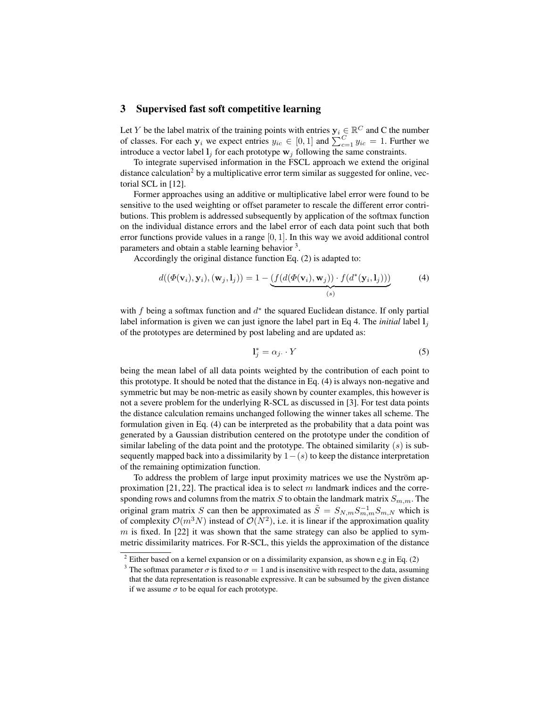### 3 Supervised fast soft competitive learning

Let Y be the label matrix of the training points with entries  $y_i \in \mathbb{R}^C$  and C the number of classes. For each  $y_i$  we expect entries  $y_{ic} \in [0,1]$  and  $\sum_{c=1}^{C} y_{ic} = 1$ . Further we introduce a vector label  $l_j$  for each prototype  $w_j$  following the same constraints.

To integrate supervised information in the FSCL approach we extend the original distance calculation<sup>2</sup> by a multiplicative error term similar as suggested for online, vectorial SCL in [12].

Former approaches using an additive or multiplicative label error were found to be sensitive to the used weighting or offset parameter to rescale the different error contributions. This problem is addressed subsequently by application of the softmax function on the individual distance errors and the label error of each data point such that both error functions provide values in a range  $[0, 1]$ . In this way we avoid additional control parameters and obtain a stable learning behavior <sup>3</sup>.

Accordingly the original distance function Eq. (2) is adapted to:

$$
d((\Phi(\mathbf{v}_i), \mathbf{y}_i), (\mathbf{w}_j, \mathbf{l}_j)) = 1 - \underbrace{(f(d(\Phi(\mathbf{v}_i), \mathbf{w}_j)) \cdot f(d^*(\mathbf{y}_i, \mathbf{l}_j)))}_{(s)}
$$
(4)

with  $f$  being a softmax function and  $d^*$  the squared Euclidean distance. If only partial label information is given we can just ignore the label part in Eq 4. The *initial* label  $l_i$ of the prototypes are determined by post labeling and are updated as:

$$
\mathbf{l}_j^* = \alpha_j \cdot Y \tag{5}
$$

being the mean label of all data points weighted by the contribution of each point to this prototype. It should be noted that the distance in Eq. (4) is always non-negative and symmetric but may be non-metric as easily shown by counter examples, this however is not a severe problem for the underlying R-SCL as discussed in [3]. For test data points the distance calculation remains unchanged following the winner takes all scheme. The formulation given in Eq. (4) can be interpreted as the probability that a data point was generated by a Gaussian distribution centered on the prototype under the condition of similar labeling of the data point and the prototype. The obtained similarity  $(s)$  is subsequently mapped back into a dissimilarity by  $1-(s)$  to keep the distance interpretation of the remaining optimization function.

To address the problem of large input proximity matrices we use the Nyström approximation [21, 22]. The practical idea is to select m landmark indices and the corresponding rows and columns from the matrix S to obtain the landmark matrix  $S_{m,m}$ . The original gram matrix S can then be approximated as  $\tilde{S} = S_{N,m} S_{m,m}^{-1} S_{m,N}$  which is of complexity  $\mathcal{O}(m^3N)$  instead of  $\mathcal{O}(N^2)$ , i.e. it is linear if the approximation quality  $m$  is fixed. In [22] it was shown that the same strategy can also be applied to symmetric dissimilarity matrices. For R-SCL, this yields the approximation of the distance

 $2$  Either based on a kernel expansion or on a dissimilarity expansion, as shown e.g in Eq. (2)

<sup>&</sup>lt;sup>3</sup> The softmax parameter  $\sigma$  is fixed to  $\sigma = 1$  and is insensitive with respect to the data, assuming that the data representation is reasonable expressive. It can be subsumed by the given distance if we assume  $\sigma$  to be equal for each prototype.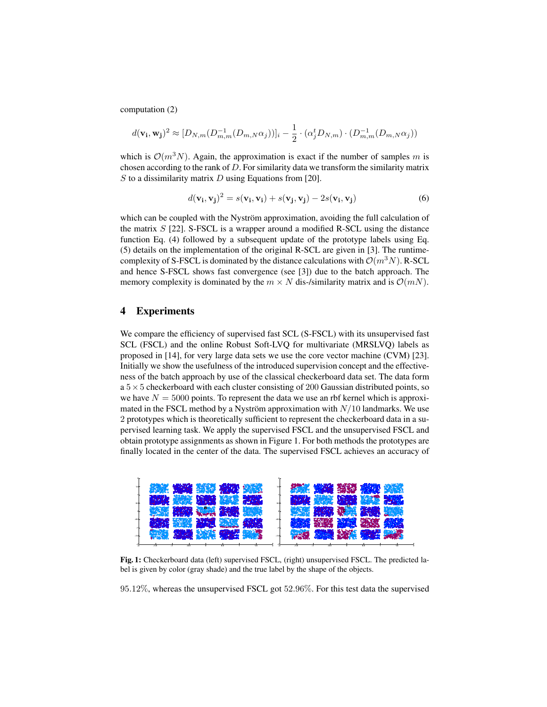computation (2)

$$
d(\mathbf{v_i}, \mathbf{w_j})^2 \approx [D_{N,m}(D_{m,m}^{-1}(D_{m,N}\alpha_j))]_i - \frac{1}{2} \cdot (\alpha_j^t D_{N,m}) \cdot (D_{m,m}^{-1}(D_{m,N}\alpha_j))
$$

which is  $\mathcal{O}(m^3N)$ . Again, the approximation is exact if the number of samples m is chosen according to the rank of  $D$ . For similarity data we transform the similarity matrix S to a dissimilarity matrix D using Equations from [20].

$$
d(\mathbf{v_i}, \mathbf{v_j})^2 = s(\mathbf{v_i}, \mathbf{v_i}) + s(\mathbf{v_j}, \mathbf{v_j}) - 2s(\mathbf{v_i}, \mathbf{v_j})
$$
(6)

which can be coupled with the Nyström approximation, avoiding the full calculation of the matrix  $S$  [22]. S-FSCL is a wrapper around a modified R-SCL using the distance function Eq. (4) followed by a subsequent update of the prototype labels using Eq. (5) details on the implementation of the original R-SCL are given in [3]. The runtimecomplexity of S-FSCL is dominated by the distance calculations with  $\mathcal{O}(m^3N)$ . R-SCL and hence S-FSCL shows fast convergence (see [3]) due to the batch approach. The memory complexity is dominated by the  $m \times N$  dis-/similarity matrix and is  $\mathcal{O}(mN)$ .

## 4 Experiments

We compare the efficiency of supervised fast SCL (S-FSCL) with its unsupervised fast SCL (FSCL) and the online Robust Soft-LVQ for multivariate (MRSLVQ) labels as proposed in [14], for very large data sets we use the core vector machine (CVM) [23]. Initially we show the usefulness of the introduced supervision concept and the effectiveness of the batch approach by use of the classical checkerboard data set. The data form  $a 5 \times 5$  checkerboard with each cluster consisting of 200 Gaussian distributed points, so we have  $N = 5000$  points. To represent the data we use an rbf kernel which is approximated in the FSCL method by a Nyström approximation with  $N/10$  landmarks. We use 2 prototypes which is theoretically sufficient to represent the checkerboard data in a supervised learning task. We apply the supervised FSCL and the unsupervised FSCL and obtain prototype assignments as shown in Figure 1. For both methods the prototypes are finally located in the center of the data. The supervised FSCL achieves an accuracy of



Fig. 1: Checkerboard data (left) supervised FSCL, (right) unsupervised FSCL. The predicted label is given by color (gray shade) and the true label by the shape of the objects.

95.12%, whereas the unsupervised FSCL got 52.96%. For this test data the supervised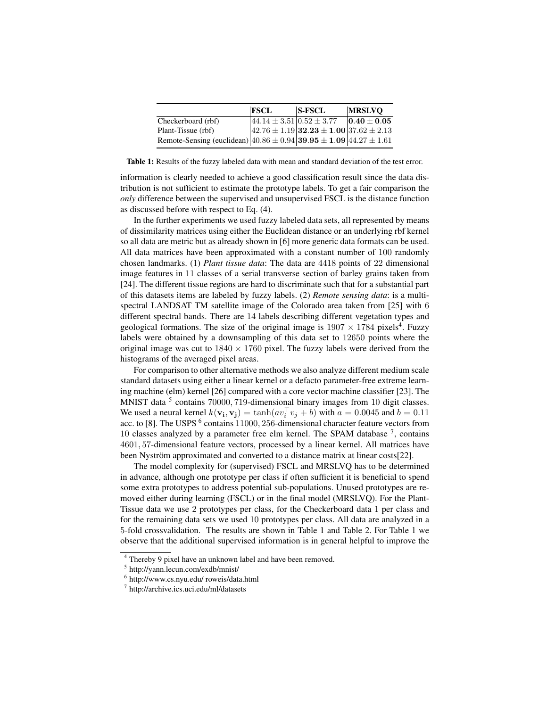|                                                                                   | <b>FSCL</b>                      | $S-FSCL$                                             | <b>MRSLVO</b>       |
|-----------------------------------------------------------------------------------|----------------------------------|------------------------------------------------------|---------------------|
| Checkerboard (rbf)                                                                | $ 44.14 \pm 3.51 0.52 \pm 3.77 $ |                                                      | $\ket{0.40\pm0.05}$ |
| Plant-Tissue (rbf)                                                                |                                  | $ 42.76 \pm 1.19 $ 32.23 $\pm$ 1.00 37.62 $\pm$ 2.13 |                     |
| Remote-Sensing (euclidean) $ 40.86 \pm 0.94 $ 39.95 $\pm$ 1.09 $ 44.27 \pm 1.61 $ |                                  |                                                      |                     |

Table 1: Results of the fuzzy labeled data with mean and standard deviation of the test error.

information is clearly needed to achieve a good classification result since the data distribution is not sufficient to estimate the prototype labels. To get a fair comparison the *only* difference between the supervised and unsupervised FSCL is the distance function as discussed before with respect to Eq. (4).

In the further experiments we used fuzzy labeled data sets, all represented by means of dissimilarity matrices using either the Euclidean distance or an underlying rbf kernel so all data are metric but as already shown in [6] more generic data formats can be used. All data matrices have been approximated with a constant number of 100 randomly chosen landmarks. (1) *Plant tissue data*: The data are 4418 points of 22 dimensional image features in 11 classes of a serial transverse section of barley grains taken from [24]. The different tissue regions are hard to discriminate such that for a substantial part of this datasets items are labeled by fuzzy labels. (2) *Remote sensing data*: is a multispectral LANDSAT TM satellite image of the Colorado area taken from [25] with 6 different spectral bands. There are 14 labels describing different vegetation types and geological formations. The size of the original image is  $1907 \times 1784$  pixels<sup>4</sup>. Fuzzy labels were obtained by a downsampling of this data set to 12650 points where the original image was cut to  $1840 \times 1760$  pixel. The fuzzy labels were derived from the histograms of the averaged pixel areas.

For comparison to other alternative methods we also analyze different medium scale standard datasets using either a linear kernel or a defacto parameter-free extreme learning machine (elm) kernel [26] compared with a core vector machine classifier [23]. The MNIST data  $5$  contains 70000, 719-dimensional binary images from 10 digit classes. We used a neural kernel  $k(\mathbf{v_i}, \mathbf{v_j}) = \tanh(a v_i^{\top} v_j + b)$  with  $a = 0.0045$  and  $b = 0.11$ acc. to [8]. The USPS  $^6$  contains 11000, 256-dimensional character feature vectors from 10 classes analyzed by a parameter free elm kernel. The SPAM database 7, contains 4601, 57-dimensional feature vectors, processed by a linear kernel. All matrices have been Nyström approximated and converted to a distance matrix at linear costs[22].

The model complexity for (supervised) FSCL and MRSLVQ has to be determined in advance, although one prototype per class if often sufficient it is beneficial to spend some extra prototypes to address potential sub-populations. Unused prototypes are removed either during learning (FSCL) or in the final model (MRSLVQ). For the Plant-Tissue data we use 2 prototypes per class, for the Checkerboard data 1 per class and for the remaining data sets we used 10 prototypes per class. All data are analyzed in a 5-fold crossvalidation. The results are shown in Table 1 and Table 2. For Table 1 we observe that the additional supervised information is in general helpful to improve the

<sup>4</sup> Thereby 9 pixel have an unknown label and have been removed.

<sup>5</sup> http://yann.lecun.com/exdb/mnist/

<sup>6</sup> http://www.cs.nyu.edu/ roweis/data.html

<sup>7</sup> http://archive.ics.uci.edu/ml/datasets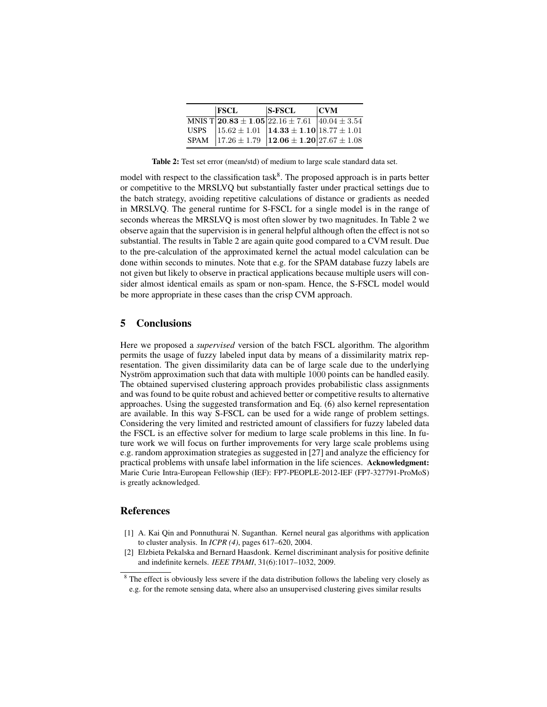| FSCL | $S-FSCL$                                                                                                            | <b>CVM</b> |
|------|---------------------------------------------------------------------------------------------------------------------|------------|
|      | MNIS T $20.83 \pm 1.05$ $\boxed{22.16 \pm 7.61}$ $\boxed{40.04 \pm 3.54}$                                           |            |
|      | USPS $\begin{array}{ l}$ 15.62 ± 1.01 $\end{array}$ 14.33 ± 1.10 18.77 ± 1.01                                       |            |
|      | SPAM $\begin{array}{ l} 17.26 \pm 1.79 \end{array}$ $\begin{array}{ l} 12.06 \pm 1.20 \end{array}$ 27.67 $\pm 1.08$ |            |

Table 2: Test set error (mean/std) of medium to large scale standard data set.

model with respect to the classification task $8$ . The proposed approach is in parts better or competitive to the MRSLVQ but substantially faster under practical settings due to the batch strategy, avoiding repetitive calculations of distance or gradients as needed in MRSLVQ. The general runtime for S-FSCL for a single model is in the range of seconds whereas the MRSLVQ is most often slower by two magnitudes. In Table 2 we observe again that the supervision is in general helpful although often the effect is not so substantial. The results in Table 2 are again quite good compared to a CVM result. Due to the pre-calculation of the approximated kernel the actual model calculation can be done within seconds to minutes. Note that e.g. for the SPAM database fuzzy labels are not given but likely to observe in practical applications because multiple users will consider almost identical emails as spam or non-spam. Hence, the S-FSCL model would be more appropriate in these cases than the crisp CVM approach.

## 5 Conclusions

Here we proposed a *supervised* version of the batch FSCL algorithm. The algorithm permits the usage of fuzzy labeled input data by means of a dissimilarity matrix representation. The given dissimilarity data can be of large scale due to the underlying Nyström approximation such that data with multiple 1000 points can be handled easily. The obtained supervised clustering approach provides probabilistic class assignments and was found to be quite robust and achieved better or competitive results to alternative approaches. Using the suggested transformation and Eq. (6) also kernel representation are available. In this way S-FSCL can be used for a wide range of problem settings. Considering the very limited and restricted amount of classifiers for fuzzy labeled data the FSCL is an effective solver for medium to large scale problems in this line. In future work we will focus on further improvements for very large scale problems using e.g. random approximation strategies as suggested in [27] and analyze the efficiency for practical problems with unsafe label information in the life sciences. Acknowledgment: Marie Curie Intra-European Fellowship (IEF): FP7-PEOPLE-2012-IEF (FP7-327791-ProMoS) is greatly acknowledged.

### References

- [1] A. Kai Qin and Ponnuthurai N. Suganthan. Kernel neural gas algorithms with application to cluster analysis. In *ICPR (4)*, pages 617–620, 2004.
- [2] Elzbieta Pekalska and Bernard Haasdonk. Kernel discriminant analysis for positive definite and indefinite kernels. *IEEE TPAMI*, 31(6):1017–1032, 2009.

<sup>&</sup>lt;sup>8</sup> The effect is obviously less severe if the data distribution follows the labeling very closely as e.g. for the remote sensing data, where also an unsupervised clustering gives similar results